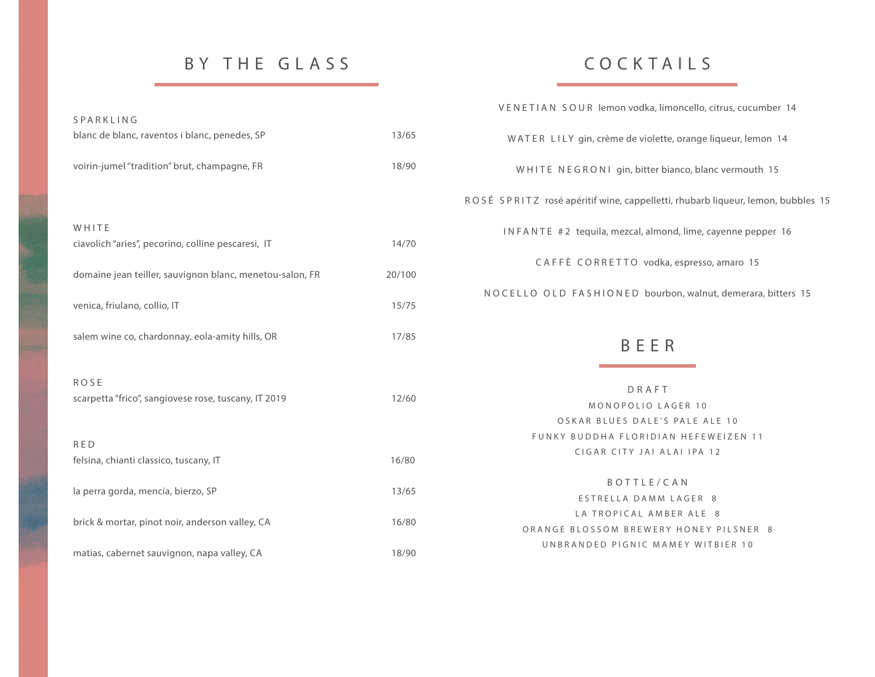# BY THE GLASS

| SPARKLING                                                           |        |
|---------------------------------------------------------------------|--------|
| blanc de blanc, raventos i blanc, penedes, SP                       | 13/65  |
| voirin-jumel "tradition" brut, champagne, FR                        | 18/90  |
|                                                                     |        |
| WHITE                                                               |        |
| ciavolich "aries", pecorino, colline pescaresi, IT                  | 14/70  |
| domaine jean teiller, sauvignon blanc, menetou-salon, FR            | 20/100 |
| venica, friulano, collio, IT                                        | 15/75  |
| salem wine co, chardonnay, eola-amity hills, OR                     | 17/85  |
|                                                                     |        |
| <b>ROSE</b><br>scarpetta "frico", sangiovese rose, tuscany, IT 2019 | 12/60  |
|                                                                     |        |
| <b>RED</b>                                                          |        |
| felsina, chianti classico, tuscany, IT                              | 16/80  |
| la perra gorda, mencia, bierzo, SP                                  | 13/65  |
| brick & mortar, pinot noir, anderson valley, CA                     | 16/80  |
| matias, cabernet sauvignon, napa valley, CA                         | 18/90  |

# COCK TAILS

| VENETIAN SOUR lemon vodka, limoncello, citrus, cucumber 14                      |
|---------------------------------------------------------------------------------|
| WATER LILY gin, crème de violette, orange liqueur, lemon 14                     |
| WHITE NEGRONI gin, bitter bianco, blanc vermouth 15                             |
| ROSÉ SPRITZ rosé apéritif wine, cappelletti, rhubarb liqueur, lemon, bubbles 15 |
| INFANTE #2 tequila, mezcal, almond, lime, cayenne pepper 16                     |
| CAFFÈ CORRETTO vodka, espresso, amaro 15                                        |
| NOCELLO OLD FASHIONED bourbon, walnut, demerara, bitters 15                     |
|                                                                                 |

## BEER

| DRAFT                                |
|--------------------------------------|
| MONOPOLIO LAGER 10                   |
| OSKAR BLUES DALE'S PALE ALE 10       |
| FUNKY BUDDHA FLORIDIAN HFFFWFIZEN 11 |
| CIGAR CITY JAI AI AI IPA 12          |
|                                      |

#### BOTTLE/CAN

ESTRELLA DAMM LAGER 8 LA TROPICAL AMBER ALE 8 ORANGE BLOSSOM BREWERY HONEY PILSNER 8 UNBRANDED PIGNIC MAMEY WITBIER 10